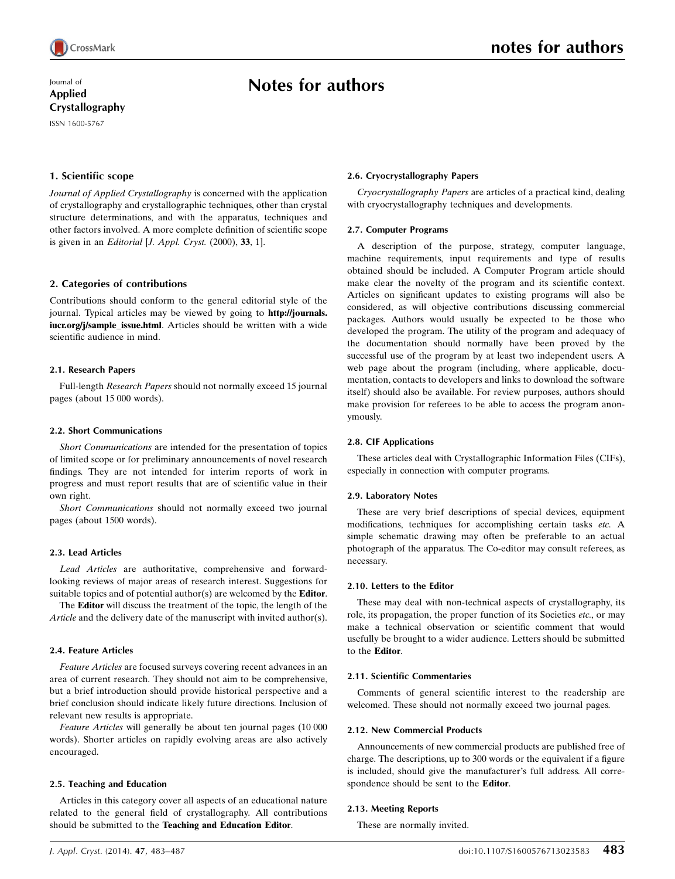

# Journal of Applied Crystallography

ISSN 1600-5767

# Notes for authors

# 1. Scientific scope

Journal of Applied Crystallography is concerned with the application of crystallography and crystallographic techniques, other than crystal structure determinations, and with the apparatus, techniques and other factors involved. A more complete definition of scientific scope is given in an *Editorial* [*J. Appl. Cryst.*  $(2000)$ , **33**, 1].

# 2. Categories of contributions

Contributions should conform to the general editorial style of the journal. Typical articles may be viewed by going to http://journals. iucr.org/j/sample\_issue.html. Articles should be written with a wide scientific audience in mind.

## 2.1. Research Papers

Full-length Research Papers should not normally exceed 15 journal pages (about 15 000 words).

## 2.2. Short Communications

Short Communications are intended for the presentation of topics of limited scope or for preliminary announcements of novel research findings. They are not intended for interim reports of work in progress and must report results that are of scientific value in their own right.

Short Communications should not normally exceed two journal pages (about 1500 words).

# 2.3. Lead Articles

Lead Articles are authoritative, comprehensive and forwardlooking reviews of major areas of research interest. Suggestions for suitable topics and of potential author(s) are welcomed by the **Editor**.

The Editor will discuss the treatment of the topic, the length of the Article and the delivery date of the manuscript with invited author(s).

# 2.4. Feature Articles

Feature Articles are focused surveys covering recent advances in an area of current research. They should not aim to be comprehensive, but a brief introduction should provide historical perspective and a brief conclusion should indicate likely future directions. Inclusion of relevant new results is appropriate.

Feature Articles will generally be about ten journal pages (10 000 words). Shorter articles on rapidly evolving areas are also actively encouraged.

## 2.5. Teaching and Education

Articles in this category cover all aspects of an educational nature related to the general field of crystallography. All contributions should be submitted to the Teaching and Education Editor.

## 2.6. Cryocrystallography Papers

Cryocrystallography Papers are articles of a practical kind, dealing with cryocrystallography techniques and developments.

## 2.7. Computer Programs

A description of the purpose, strategy, computer language, machine requirements, input requirements and type of results obtained should be included. A Computer Program article should make clear the novelty of the program and its scientific context. Articles on significant updates to existing programs will also be considered, as will objective contributions discussing commercial packages. Authors would usually be expected to be those who developed the program. The utility of the program and adequacy of the documentation should normally have been proved by the successful use of the program by at least two independent users. A web page about the program (including, where applicable, documentation, contacts to developers and links to download the software itself) should also be available. For review purposes, authors should make provision for referees to be able to access the program anonymously.

## 2.8. CIF Applications

These articles deal with Crystallographic Information Files (CIFs), especially in connection with computer programs.

# 2.9. Laboratory Notes

These are very brief descriptions of special devices, equipment modifications, techniques for accomplishing certain tasks etc. A simple schematic drawing may often be preferable to an actual photograph of the apparatus. The Co-editor may consult referees, as necessary.

## 2.10. Letters to the Editor

These may deal with non-technical aspects of crystallography, its role, its propagation, the proper function of its Societies etc., or may make a technical observation or scientific comment that would usefully be brought to a wider audience. Letters should be submitted to the Editor.

## 2.11. Scientific Commentaries

Comments of general scientific interest to the readership are welcomed. These should not normally exceed two journal pages.

## 2.12. New Commercial Products

Announcements of new commercial products are published free of charge. The descriptions, up to 300 words or the equivalent if a figure is included, should give the manufacturer's full address. All correspondence should be sent to the Editor.

# 2.13. Meeting Reports

These are normally invited.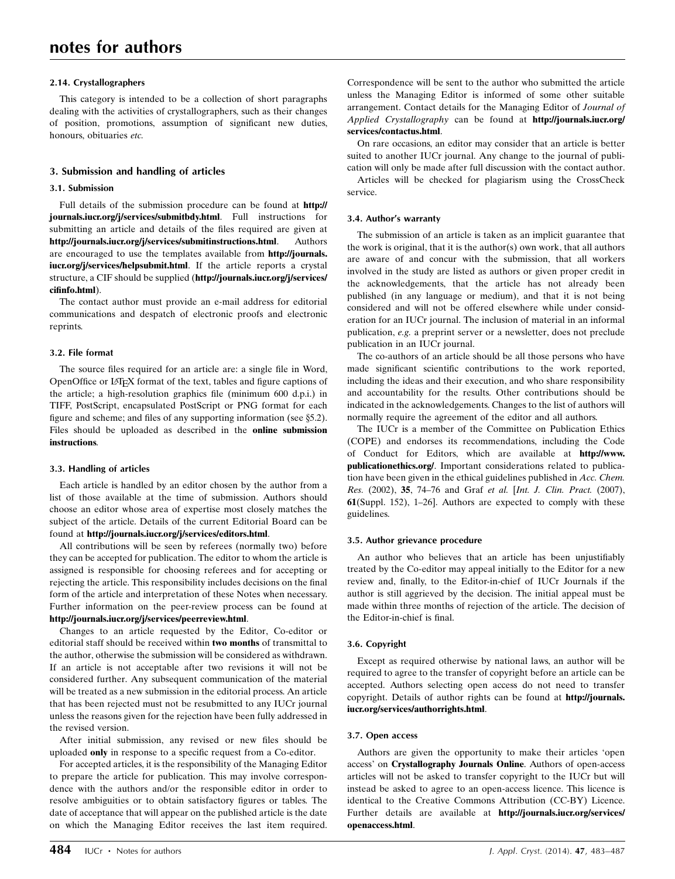## 2.14. Crystallographers

This category is intended to be a collection of short paragraphs dealing with the activities of crystallographers, such as their changes of position, promotions, assumption of significant new duties, honours, obituaries etc.

## 3. Submission and handling of articles

## 3.1. Submission

Full details of the submission procedure can be found at http:// journals.iucr.org/j/services/submitbdy.html. Full instructions for submitting an article and details of the files required are given at http://journals.iucr.org/j/services/submitinstructions.html. Authors are encouraged to use the templates available from http://journals. iucr.org/j/services/helpsubmit.html. If the article reports a crystal structure, a CIF should be supplied (http://journals.iucr.org/j/services/ cifinfo.html).

The contact author must provide an e-mail address for editorial communications and despatch of electronic proofs and electronic reprints.

#### 3.2. File format

The source files required for an article are: a single file in Word, OpenOffice or LATEX format of the text, tables and figure captions of the article; a high-resolution graphics file (minimum 600 d.p.i.) in TIFF, PostScript, encapsulated PostScript or PNG format for each figure and scheme; and files of any supporting information (see §5.2). Files should be uploaded as described in the online submission instructions.

#### 3.3. Handling of articles

Each article is handled by an editor chosen by the author from a list of those available at the time of submission. Authors should choose an editor whose area of expertise most closely matches the subject of the article. Details of the current Editorial Board can be found at http://journals.iucr.org/j/services/editors.html.

All contributions will be seen by referees (normally two) before they can be accepted for publication. The editor to whom the article is assigned is responsible for choosing referees and for accepting or rejecting the article. This responsibility includes decisions on the final form of the article and interpretation of these Notes when necessary. Further information on the peer-review process can be found at http://journals.iucr.org/j/services/peerreview.html.

Changes to an article requested by the Editor, Co-editor or editorial staff should be received within two months of transmittal to the author, otherwise the submission will be considered as withdrawn. If an article is not acceptable after two revisions it will not be considered further. Any subsequent communication of the material will be treated as a new submission in the editorial process. An article that has been rejected must not be resubmitted to any IUCr journal unless the reasons given for the rejection have been fully addressed in the revised version.

After initial submission, any revised or new files should be uploaded only in response to a specific request from a Co-editor.

For accepted articles, it is the responsibility of the Managing Editor to prepare the article for publication. This may involve correspondence with the authors and/or the responsible editor in order to resolve ambiguities or to obtain satisfactory figures or tables. The date of acceptance that will appear on the published article is the date on which the Managing Editor receives the last item required.

Correspondence will be sent to the author who submitted the article unless the Managing Editor is informed of some other suitable arrangement. Contact details for the Managing Editor of Journal of Applied Crystallography can be found at http://journals.iucr.org/ services/contactus.html.

On rare occasions, an editor may consider that an article is better suited to another IUCr journal. Any change to the journal of publication will only be made after full discussion with the contact author.

Articles will be checked for plagiarism using the CrossCheck service.

## 3.4. Author's warranty

The submission of an article is taken as an implicit guarantee that the work is original, that it is the author(s) own work, that all authors are aware of and concur with the submission, that all workers involved in the study are listed as authors or given proper credit in the acknowledgements, that the article has not already been published (in any language or medium), and that it is not being considered and will not be offered elsewhere while under consideration for an IUCr journal. The inclusion of material in an informal publication, e.g. a preprint server or a newsletter, does not preclude publication in an IUCr journal.

The co-authors of an article should be all those persons who have made significant scientific contributions to the work reported, including the ideas and their execution, and who share responsibility and accountability for the results. Other contributions should be indicated in the acknowledgements. Changes to the list of authors will normally require the agreement of the editor and all authors.

The IUCr is a member of the Committee on Publication Ethics (COPE) and endorses its recommendations, including the Code of Conduct for Editors, which are available at http://www. publicationethics.org/. Important considerations related to publication have been given in the ethical guidelines published in Acc. Chem. Res. (2002), 35, 74–76 and Graf et al. [Int. J. Clin. Pract. (2007), 61(Suppl. 152), 1–26]. Authors are expected to comply with these guidelines.

## 3.5. Author grievance procedure

An author who believes that an article has been unjustifiably treated by the Co-editor may appeal initially to the Editor for a new review and, finally, to the Editor-in-chief of IUCr Journals if the author is still aggrieved by the decision. The initial appeal must be made within three months of rejection of the article. The decision of the Editor-in-chief is final.

## 3.6. Copyright

Except as required otherwise by national laws, an author will be required to agree to the transfer of copyright before an article can be accepted. Authors selecting open access do not need to transfer copyright. Details of author rights can be found at http://journals. iucr.org/services/authorrights.html.

## 3.7. Open access

Authors are given the opportunity to make their articles 'open access' on Crystallography Journals Online. Authors of open-access articles will not be asked to transfer copyright to the IUCr but will instead be asked to agree to an open-access licence. This licence is identical to the Creative Commons Attribution (CC-BY) Licence. Further details are available at http://journals.iucr.org/services/ openaccess.html.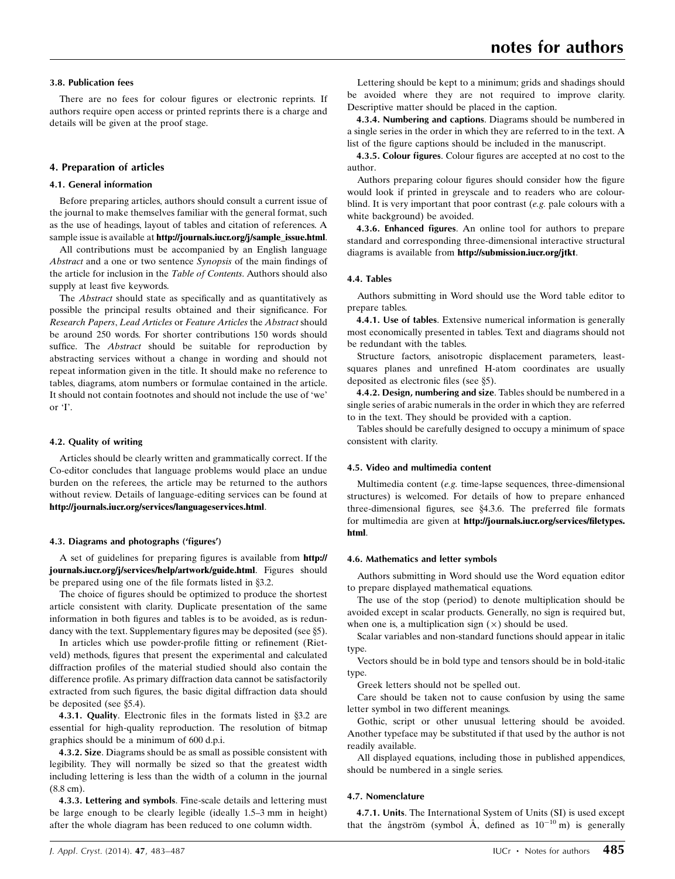#### 3.8. Publication fees

There are no fees for colour figures or electronic reprints. If authors require open access or printed reprints there is a charge and details will be given at the proof stage.

## 4. Preparation of articles

#### 4.1. General information

Before preparing articles, authors should consult a current issue of the journal to make themselves familiar with the general format, such as the use of headings, layout of tables and citation of references. A sample issue is available at http://journals.iucr.org/j/sample\_issue.html.

All contributions must be accompanied by an English language Abstract and a one or two sentence Synopsis of the main findings of the article for inclusion in the Table of Contents. Authors should also supply at least five keywords.

The Abstract should state as specifically and as quantitatively as possible the principal results obtained and their significance. For Research Papers, Lead Articles or Feature Articles the Abstract should be around 250 words. For shorter contributions 150 words should suffice. The Abstract should be suitable for reproduction by abstracting services without a change in wording and should not repeat information given in the title. It should make no reference to tables, diagrams, atom numbers or formulae contained in the article. It should not contain footnotes and should not include the use of 'we' or 'I'.

#### 4.2. Quality of writing

Articles should be clearly written and grammatically correct. If the Co-editor concludes that language problems would place an undue burden on the referees, the article may be returned to the authors without review. Details of language-editing services can be found at http://journals.iucr.org/services/languageservices.html.

#### 4.3. Diagrams and photographs ('figures')

A set of guidelines for preparing figures is available from **http://** journals.iucr.org/j/services/help/artwork/guide.html. Figures should be prepared using one of the file formats listed in §3.2.

The choice of figures should be optimized to produce the shortest article consistent with clarity. Duplicate presentation of the same information in both figures and tables is to be avoided, as is redundancy with the text. Supplementary figures may be deposited (see  $\S5$ ).

In articles which use powder-profile fitting or refinement (Rietveld) methods, figures that present the experimental and calculated diffraction profiles of the material studied should also contain the difference profile. As primary diffraction data cannot be satisfactorily extracted from such figures, the basic digital diffraction data should be deposited (see  $\S$ 5.4).

4.3.1. Quality. Electronic files in the formats listed in  $\S 3.2$  are essential for high-quality reproduction. The resolution of bitmap graphics should be a minimum of 600 d.p.i.

4.3.2. Size. Diagrams should be as small as possible consistent with legibility. They will normally be sized so that the greatest width including lettering is less than the width of a column in the journal (8.8 cm).

4.3.3. Lettering and symbols. Fine-scale details and lettering must be large enough to be clearly legible (ideally 1.5–3 mm in height) after the whole diagram has been reduced to one column width.

Lettering should be kept to a minimum; grids and shadings should be avoided where they are not required to improve clarity. Descriptive matter should be placed in the caption.

4.3.4. Numbering and captions. Diagrams should be numbered in a single series in the order in which they are referred to in the text. A list of the figure captions should be included in the manuscript.

4.3.5. Colour figures. Colour figures are accepted at no cost to the author.

Authors preparing colour figures should consider how the figure would look if printed in greyscale and to readers who are colourblind. It is very important that poor contrast (e.g. pale colours with a white background) be avoided.

4.3.6. Enhanced figures. An online tool for authors to prepare standard and corresponding three-dimensional interactive structural diagrams is available from http://submission.iucr.org/jtkt.

#### 4.4. Tables

Authors submitting in Word should use the Word table editor to prepare tables.

4.4.1. Use of tables. Extensive numerical information is generally most economically presented in tables. Text and diagrams should not be redundant with the tables.

Structure factors, anisotropic displacement parameters, leastsquares planes and unrefined H-atom coordinates are usually deposited as electronic files (see  $\S5$ ).

4.4.2. Design, numbering and size. Tables should be numbered in a single series of arabic numerals in the order in which they are referred to in the text. They should be provided with a caption.

Tables should be carefully designed to occupy a minimum of space consistent with clarity.

#### 4.5. Video and multimedia content

Multimedia content (e.g. time-lapse sequences, three-dimensional structures) is welcomed. For details of how to prepare enhanced three-dimensional figures, see  $§4.3.6$ . The preferred file formats for multimedia are given at http://journals.iucr.org/services/filetypes. html.

## 4.6. Mathematics and letter symbols

Authors submitting in Word should use the Word equation editor to prepare displayed mathematical equations.

The use of the stop (period) to denote multiplication should be avoided except in scalar products. Generally, no sign is required but, when one is, a multiplication sign  $(x)$  should be used.

Scalar variables and non-standard functions should appear in italic type.

Vectors should be in bold type and tensors should be in bold-italic type.

Greek letters should not be spelled out.

Care should be taken not to cause confusion by using the same letter symbol in two different meanings.

Gothic, script or other unusual lettering should be avoided. Another typeface may be substituted if that used by the author is not readily available.

All displayed equations, including those in published appendices, should be numbered in a single series.

#### 4.7. Nomenclature

4.7.1. Units. The International System of Units (SI) is used except that the ångström (symbol Å, defined as  $10^{-10}$  m) is generally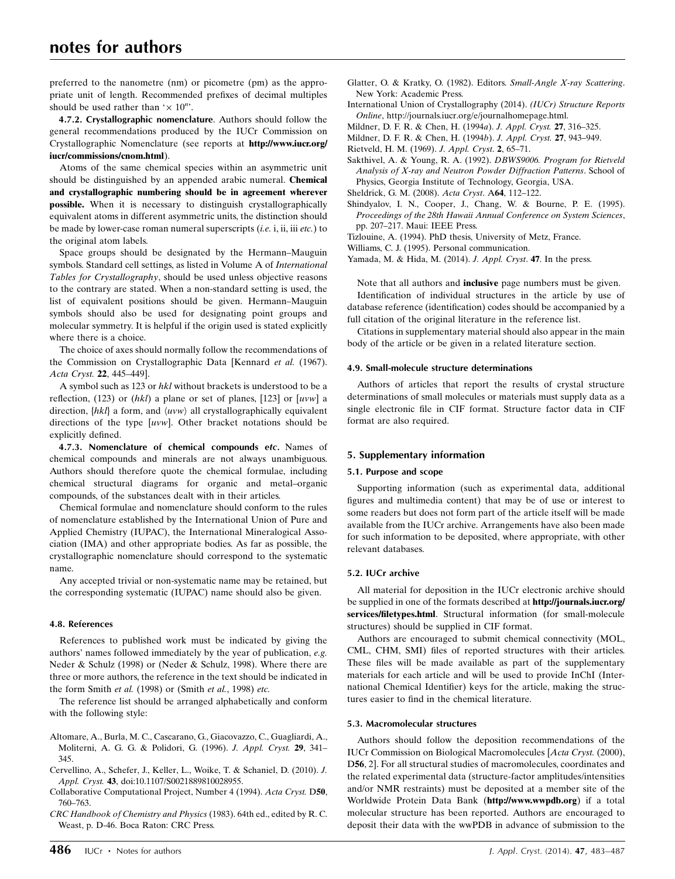preferred to the nanometre (nm) or picometre (pm) as the appropriate unit of length. Recommended prefixes of decimal multiples should be used rather than  $\prime \times 10^n$ .

4.7.2. Crystallographic nomenclature. Authors should follow the general recommendations produced by the IUCr Commission on Crystallographic Nomenclature (see reports at http://www.iucr.org/ iucr/commissions/cnom.html).

Atoms of the same chemical species within an asymmetric unit should be distinguished by an appended arabic numeral. Chemical and crystallographic numbering should be in agreement wherever possible. When it is necessary to distinguish crystallographically equivalent atoms in different asymmetric units, the distinction should be made by lower-case roman numeral superscripts (i.e. i, ii, iii etc.) to the original atom labels.

Space groups should be designated by the Hermann–Mauguin symbols. Standard cell settings, as listed in Volume A of International Tables for Crystallography, should be used unless objective reasons to the contrary are stated. When a non-standard setting is used, the list of equivalent positions should be given. Hermann–Mauguin symbols should also be used for designating point groups and molecular symmetry. It is helpful if the origin used is stated explicitly where there is a choice.

The choice of axes should normally follow the recommendations of the Commission on Crystallographic Data [Kennard et al. (1967). Acta Cryst. 22, 445–449].

A symbol such as 123 or hkl without brackets is understood to be a reflection, (123) or  $(hkl)$  a plane or set of planes, [123] or [uvw] a direction,  $\{hk\}$  a form, and  $\langle uvw \rangle$  all crystallographically equivalent directions of the type [uvw]. Other bracket notations should be explicitly defined.

4.7.3. Nomenclature of chemical compounds etc. Names of chemical compounds and minerals are not always unambiguous. Authors should therefore quote the chemical formulae, including chemical structural diagrams for organic and metal–organic compounds, of the substances dealt with in their articles.

Chemical formulae and nomenclature should conform to the rules of nomenclature established by the International Union of Pure and Applied Chemistry (IUPAC), the International Mineralogical Association (IMA) and other appropriate bodies. As far as possible, the crystallographic nomenclature should correspond to the systematic name.

Any accepted trivial or non-systematic name may be retained, but the corresponding systematic (IUPAC) name should also be given.

## 4.8. References

References to published work must be indicated by giving the authors' names followed immediately by the year of publication, e.g. Neder & Schulz (1998) or (Neder & Schulz, 1998). Where there are three or more authors, the reference in the text should be indicated in the form Smith et al. (1998) or (Smith et al., 1998) etc.

The reference list should be arranged alphabetically and conform with the following style:

- Altomare, A., Burla, M. C., Cascarano, G., Giacovazzo, C., Guagliardi, A., Moliterni, A. G. G. & Polidori, G. (1996). J. Appl. Cryst. 29, 341– 345.
- Cervellino, A., Schefer, J., Keller, L., Woike, T. & Schaniel, D. (2010). J. Appl. Cryst. 43, doi:10.1107/S0021889810028955.
- Collaborative Computational Project, Number 4 (1994). Acta Cryst. D50, 760–763.

CRC Handbook of Chemistry and Physics (1983). 64th ed., edited by R. C. Weast, p. D-46. Boca Raton: CRC Press.

Glatter, O. & Kratky, O. (1982). Editors. Small-Angle X-ray Scattering. New York: Academic Press.

- International Union of Crystallography (2014). (IUCr) Structure Reports Online, http://journals.iucr.org/e/journalhomepage.html.
- Mildner, D. F. R. & Chen, H. (1994a). J. Appl. Cryst. 27, 316–325.
- Mildner, D. F. R. & Chen, H. (1994b). J. Appl. Cryst. 27, 943–949.

Rietveld, H. M. (1969). J. Appl. Cryst. 2, 65–71.

Sakthivel, A. & Young, R. A. (1992). DBWS9006. Program for Rietveld Analysis of X-ray and Neutron Powder Diffraction Patterns. School of Physics, Georgia Institute of Technology, Georgia, USA.

Sheldrick, G. M. (2008). Acta Cryst. A64, 112–122.

Shindyalov, I. N., Cooper, J., Chang, W. & Bourne, P. E. (1995). Proceedings of the 28th Hawaii Annual Conference on System Sciences, pp. 207–217. Maui: IEEE Press.

Tizlouine, A. (1994). PhD thesis, University of Metz, France.

Williams, C. J. (1995). Personal communication.

Yamada, M. & Hida, M. (2014). J. Appl. Cryst. 47. In the press.

Note that all authors and **inclusive** page numbers must be given. Identification of individual structures in the article by use of database reference (identification) codes should be accompanied by a full citation of the original literature in the reference list.

Citations in supplementary material should also appear in the main body of the article or be given in a related literature section.

#### 4.9. Small-molecule structure determinations

Authors of articles that report the results of crystal structure determinations of small molecules or materials must supply data as a single electronic file in CIF format. Structure factor data in CIF format are also required.

## 5. Supplementary information

## 5.1. Purpose and scope

Supporting information (such as experimental data, additional figures and multimedia content) that may be of use or interest to some readers but does not form part of the article itself will be made available from the IUCr archive. Arrangements have also been made for such information to be deposited, where appropriate, with other relevant databases.

## 5.2. IUCr archive

All material for deposition in the IUCr electronic archive should be supplied in one of the formats described at http://journals.iucr.org/ services/filetypes.html. Structural information (for small-molecule structures) should be supplied in CIF format.

Authors are encouraged to submit chemical connectivity (MOL, CML, CHM, SMI) files of reported structures with their articles. These files will be made available as part of the supplementary materials for each article and will be used to provide InChI (International Chemical Identifier) keys for the article, making the structures easier to find in the chemical literature.

#### 5.3. Macromolecular structures

Authors should follow the deposition recommendations of the IUCr Commission on Biological Macromolecules [Acta Cryst. (2000), D56, 2]. For all structural studies of macromolecules, coordinates and the related experimental data (structure-factor amplitudes/intensities and/or NMR restraints) must be deposited at a member site of the Worldwide Protein Data Bank (http://www.wwpdb.org) if a total molecular structure has been reported. Authors are encouraged to deposit their data with the wwPDB in advance of submission to the